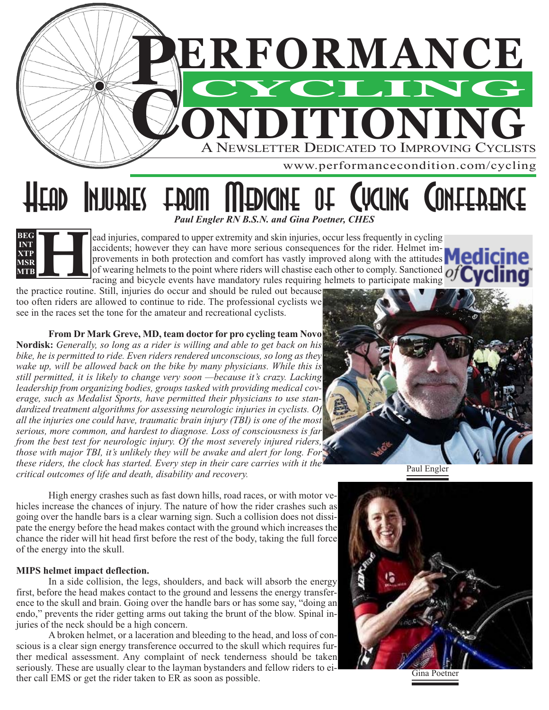

*Paul Engler RN B.S.N. and Gina Poetner, CHES*

ead injuries, compared to upper extremity and skin injuries, occur less frequently in cycling accidents; however they can have more serious consequences for the rider. Helmet im-

of wearing helmets to the point where riders will chastise each other to comply. Sanctioned  $\overline{O}$ 

HUUNEY FROM WEDICINE OF CACING CONTEBENCE

provements in both protection and comfort has vastly improved along with the attitudes **Medicine** 

racing and bicycle events have mandatory rules requiring helmets to participate making the practice routine. Still, injuries do occur and should be ruled out because too often riders are allowed to continue to ride. The professional cyclists we see in the races set the tone for the amateur and recreational cyclists.

## **From Dr Mark Greve, MD, team doctor for pro cycling team Novo**

**Nordisk:** *Generally, so long as a rider is willing and able to get back on his bike, he is permitted to ride. Even riders rendered unconscious, so long as they wake up, will be allowed back on the bike by many physicians. While this is still permitted, it is likely to change very soon —because it's crazy. Lacking leadership from organizing bodies, groups tasked with providing medical coverage, such as Medalist Sports, have permitted their physicians to use standardized treatment algorithms for assessing neurologic injuries in cyclists. Of all the injuries one could have, traumatic brain injury (TBI) is one of the most serious, more common, and hardest to diagnose. Loss of consciousness is far from the best test for neurologic injury. Of the most severely injured riders, those with major TBI, it's unlikely they will be awake and alert for long. For these riders, the clock has started. Every step in their care carries with it the critical outcomes of life and death, disability and recovery.*

Paul Engler

High energy crashes such as fast down hills, road races, or with motor vehicles increase the chances of injury. The nature of how the rider crashes such as going over the handle bars is a clear warning sign. Such a collision does not dissipate the energy before the head makes contact with the ground which increases the chance the rider will hit head first before the rest of the body, taking the full force of the energy into the skull.

## **MIPS helmet impact deflection.**

**H**

**BEG INT XTP MSR MTB**

In a side collision, the legs, shoulders, and back will absorb the energy first, before the head makes contact to the ground and lessens the energy transference to the skull and brain. Going over the handle bars or has some say, "doing an endo," prevents the rider getting arms out taking the brunt of the blow. Spinal injuries of the neck should be a high concern.

A broken helmet, or a laceration and bleeding to the head, and loss of conscious is a clear sign energy transference occurred to the skull which requires further medical assessment. Any complaint of neck tenderness should be taken seriously. These are usually clear to the layman bystanders and fellow riders to either call EMS or get the rider taken to ER as soon as possible.

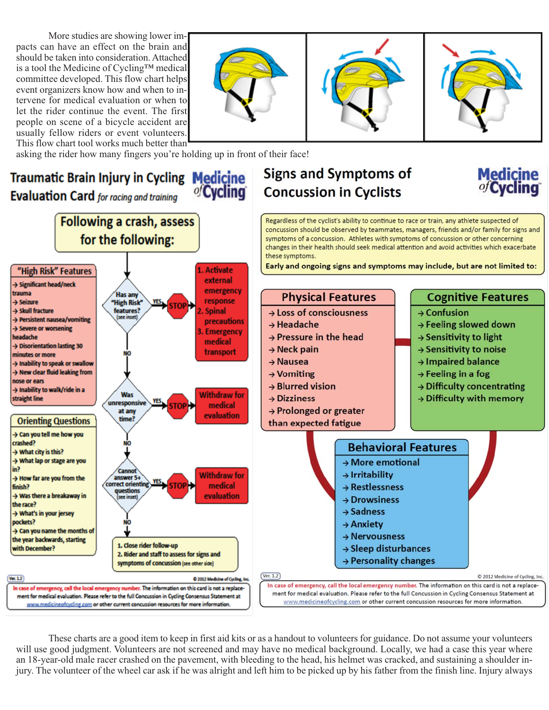More studies are showing lower impacts can have an effect on the brain and should be taken into consideration. Attached is a tool the Medicine of Cycling™ medical committee developed. This flow chart helps event organizers know how and when to intervene for medical evaluation or when to let the rider continue the event. The first people on scene of a bicycle accident are usually fellow riders or event volunteers. This flow chart tool works much better than







**Medicine**<br>*of* Cycling

asking the rider how many fingers you're holding up in front of their face!

**Traumatic Brain Injury in Cycling Medicine** of Cycling **Evaluation Card** for racing and training

**Following a crash, assess** 

for the following:



Regardless of the cyclist's ability to continue to race or train, any athlete suspected of concussion should be observed by teammates, managers, friends and/or family for signs and symptoms of a concussion. Athletes with symptoms of concussion or other concerning changes in their health should seek medical attention and avoid activities which exacerbate these symptoms.

Early and ongoing signs and symptoms may include, but are not limited to:



These charts are a good item to keep in first aid kits or as a handout to volunteers for guidance. Do not assume your volunteers will use good judgment. Volunteers are not screened and may have no medical background. Locally, we had a case this year where an 18-year-old male racer crashed on the pavement, with bleeding to the head, his helmet was cracked, and sustaining a shoulder injury. The volunteer of the wheel car ask if he was alright and left him to be picked up by his father from the finish line. Injury always